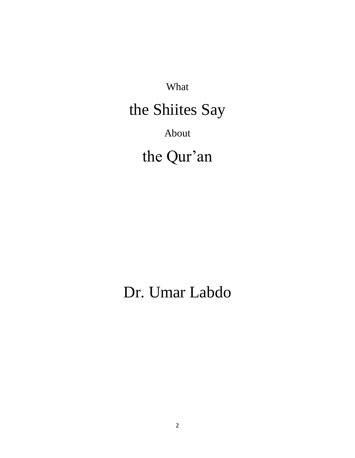What

# the Shiites Say

About

the Qur'an

## Dr. Umar Labdo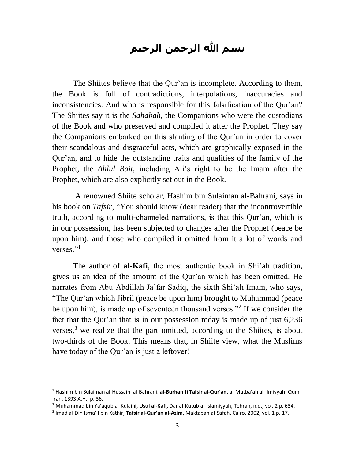### بسم الله الرحمن الرحيم

The Shiites believe that the Qur'an is incomplete. According to them, the Book is full of contradictions, interpolations, inaccuracies and inconsistencies. And who is responsible for this falsification of the Qur'an? The Shiites say it is the *Sahabah*, the Companions who were the custodians of the Book and who preserved and compiled it after the Prophet. They say the Companions embarked on this slanting of the Qur'an in order to cover their scandalous and disgraceful acts, which are graphically exposed in the Qur'an, and to hide the outstanding traits and qualities of the family of the Prophet, the *Ahlul Bait,* including Ali's right to be the Imam after the Prophet, which are also explicitly set out in the Book.

A renowned Shiite scholar, Hashim bin Sulaiman al-Bahrani, says in his book on *Tafsir*, "You should know (dear reader) that the incontrovertible truth, according to multi-channeled narrations, is that this Qur'an, which is in our possession, has been subjected to changes after the Prophet (peace be upon him), and those who compiled it omitted from it a lot of words and verses." $1$ 

The author of **al-Kafi**, the most authentic book in Shi'ah tradition, gives us an idea of the amount of the Qur'an which has been omitted. He narrates from Abu Abdillah Ja'far Sadiq, the sixth Shi'ah Imam, who says, "The Qur'an which Jibril (peace be upon him) brought to Muhammad (peace be upon him), is made up of seventeen thousand verses."<sup>2</sup> If we consider the fact that the Qur'an that is in our possession today is made up of just 6,236 verses, <sup>3</sup> we realize that the part omitted, according to the Shiites, is about two-thirds of the Book. This means that, in Shiite view, what the Muslims have today of the Qur'an is just a leftover!

 $\overline{\phantom{a}}$ 

<sup>1</sup> Hashim bin Sulaiman al-Hussaini al-Bahrani, **al-Burhan fi Tafsir al-Qur'an**, al-Matba'ah al-Ilmiyyah, Qum-Iran, 1393 A.H., p. 36.

<sup>2</sup> Muhammad bin Ya'aqub al-Kulaini, **Usul al-Kafi,** Dar al-Kutub al-Islamiyyah, Tehran, n.d., vol. 2 p. 634.

<sup>3</sup> Imad al-Din Isma'il bin Kathir, **Tafsir al-Qur'an al-Azim,** Maktabah al-Safah, Cairo, 2002, vol. 1 p. 17.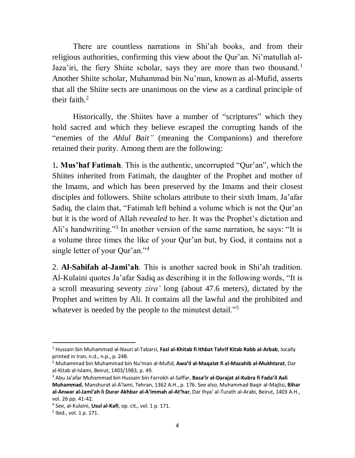There are countless narrations in Shi'ah books, and from their religious authorities, confirming this view about the Qur'an. Ni'matullah al-Jaza'iri, the fiery Shiite scholar, says they are more than two thousand.<sup>1</sup> Another Shiite scholar, Muhammad bin Nu'man, known as al-Mufid, asserts that all the Shiite sects are unanimous on the view as a cardinal principle of their faith. $2$ 

Historically, the Shiites have a number of "scriptures" which they hold sacred and which they believe escaped the corrupting hands of the "enemies of the *Ahlul Bait"* (meaning the Companions) and therefore retained their purity. Among them are the following:

1*.* **Mus'haf Fatimah**. This is the authentic, uncorrupted "Qur'an", which the Shiites inherited from Fatimah, the daughter of the Prophet and mother of the Imams, and which has been preserved by the Imams and their closest disciples and followers. Shiite scholars attribute to their sixth Imam, Ja'afar Sadiq, the claim that, "Fatimah left behind a volume which is not the Qur'an but it is the word of Allah *revealed* to her. It was the Prophet's dictation and Ali's handwriting."<sup>3</sup> In another version of the same narration, he says: "It is a volume three times the like of your Qur'an but, by God, it contains not a single letter of your Qur'an."<sup>4</sup>

2. **Al-Sahifah al-Jami'ah**. This is another sacred book in Shi'ah tradition. Al-Kulaini quotes Ja'afar Sadiq as describing it in the following words, "It is a scroll measuring seventy *zira'* long (about 47.6 meters), dictated by the Prophet and written by Ali. It contains all the lawful and the prohibited and whatever is needed by the people to the minutest detail."<sup>5</sup>

 $\overline{\phantom{a}}$ 

<sup>1</sup> Hussain bin Muhammad al-Nauri al-Tabarsi, **Fasl al-Khitab fi Ithbat Tahrif Kitab Rabb al-Arbab**, locally printed in Iran, n.d., n.p., p. 248.

<sup>2</sup> Muhammad bin Muhammad bin Nu'man al-Mufid, **Awa'il al-Maqalat fi al-Mazahib al-Mukhtarat**, Dar al-Kitab al-Islami, Beirut, 1403/1983, p. 49.

<sup>3</sup> Abu Ja'afar Muhammad bin Hussain bin Farrokh al-Saffar, **Basa'ir al-Darajat al-Kubra fi Fada'il Aali Muhammad**, Manshurat al-A'lami, Tehran, 1362 A.H., p. 176. See also, Muhammad Baqir al-Majlisi, **Bihar al-Anwar al-Jami'ah li Durar Akhbar al-A'immah al-At'har**, Dar Ihya' al-Turath al-Arabi, Beirut, 1403 A.H., vol. 26 pp. 41-42.

<sup>4</sup> See, al-Kulaini, **Usul al-Kafi**, op. cit., vol. 1 p. 171.

<sup>5</sup> Ibid., vol. 1 p. 171.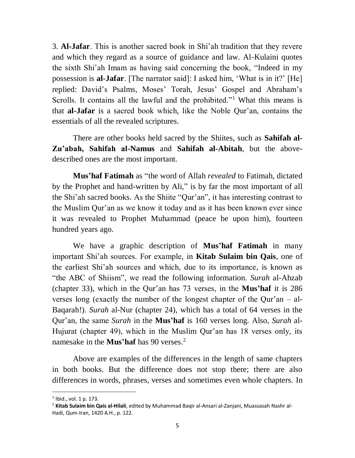3. **Al-Jafar**. This is another sacred book in Shi'ah tradition that they revere and which they regard as a source of guidance and law. Al-Kulaini quotes the sixth Shi'ah Imam as having said concerning the book, "Indeed in my possession is **al-Jafar**. [The narrator said]: I asked him, 'What is in it?' [He] replied: David's Psalms, Moses' Torah, Jesus' Gospel and Abraham's Scrolls. It contains all the lawful and the prohibited."<sup>1</sup> What this means is that **al-Jafar** is a sacred book which, like the Noble Qur'an, contains the essentials of all the revealed scriptures.

There are other books held sacred by the Shiites, such as **Sahifah al-Zu'abah, Sahifah al-Namus** and **Sahifah al-Abitah**, but the abovedescribed ones are the most important.

**Mus'haf Fatimah** as "the word of Allah *revealed* to Fatimah, dictated by the Prophet and hand-written by Ali," is by far the most important of all the Shi'ah sacred books. As the Shiite "Qur'an", it has interesting contrast to the Muslim Qur'an as we know it today and as it has been known ever since it was revealed to Prophet Muhammad (peace be upon him), fourteen hundred years ago.

We have a graphic description of **Mus'haf Fatimah** in many important Shi'ah sources. For example, in **Kitab Sulaim bin Qais**, one of the earliest Shi'ah sources and which, due to its importance, is known as "the ABC of Shiism", we read the following information. *Surah* al-Ahzab (chapter 33), which in the Qur'an has 73 verses, in the **Mus'haf** it is 286 verses long (exactly the number of the longest chapter of the Qur'an – al-Baqarah!). *Surah* al-Nur (chapter 24), which has a total of 64 verses in the Qur'an, the same *Surah* in the **Mus'haf** is 160 verses long. Also, *Surah* al-Hujurat (chapter 49), which in the Muslim Qur'an has 18 verses only, its namesake in the **Mus'haf** has 90 verses.<sup>2</sup>

Above are examples of the differences in the length of same chapters in both books. But the difference does not stop there; there are also differences in words, phrases, verses and sometimes even whole chapters. In

 $\overline{\phantom{a}}$ 

 $<sup>1</sup>$  Ibid., vol. 1 p. 173.</sup>

<sup>2</sup> **Kitab Sulaim bin Qais al-Hilali**, edited by Muhammad Baqir al-Ansari al-Zanjani, Muassasah Nashr al-Hadi, Qum-Iran, 1420 A.H., p. 122.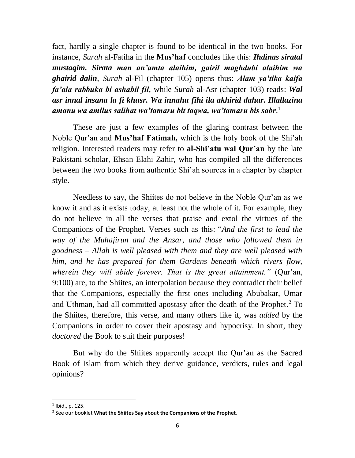fact, hardly a single chapter is found to be identical in the two books. For instance, *Surah* al-Fatiha in the **Mus'haf** concludes like this: *Ihdinas siratal mustaqim. Sirata man an'amta alaihim, gairil maghdubi alaihim wa ghairid dalin*, *Surah* al-Fil (chapter 105) opens thus: *Alam ya'tika kaifa fa'ala rabbuka bi ashabil fil*, while *Surah* al-Asr (chapter 103) reads: *Wal asr innal insana la fi khusr. Wa innahu fihi ila akhirid dahar. Illallazina amanu wa amilus salihat wa'tamaru bit taqwa, wa'tamaru bis sabr*. 1

These are just a few examples of the glaring contrast between the Noble Qur'an and **Mus'haf Fatimah,** which is the holy book of the Shi'ah religion. Interested readers may refer to **al-Shi'atu wal Qur'an** by the late Pakistani scholar, Ehsan Elahi Zahir, who has compiled all the differences between the two books from authentic Shi'ah sources in a chapter by chapter style.

Needless to say, the Shiites do not believe in the Noble Qur'an as we know it and as it exists today, at least not the whole of it. For example, they do not believe in all the verses that praise and extol the virtues of the Companions of the Prophet. Verses such as this: "*And the first to lead the way of the Muhajirun and the Ansar, and those who followed them in goodness – Allah is well pleased with them and they are well pleased with him, and he has prepared for them Gardens beneath which rivers flow, wherein they will abide forever. That is the great attainment."* (Qur'an, 9:100) are, to the Shiites, an interpolation because they contradict their belief that the Companions, especially the first ones including Abubakar, Umar and Uthman, had all committed apostasy after the death of the Prophet.<sup>2</sup> To the Shiites, therefore, this verse, and many others like it, was *added* by the Companions in order to cover their apostasy and hypocrisy. In short, they *doctored* the Book to suit their purposes!

But why do the Shiites apparently accept the Qur'an as the Sacred Book of Islam from which they derive guidance, verdicts, rules and legal opinions?

 $\overline{a}$ 

 $<sup>1</sup>$  Ibid., p. 125.</sup>

<sup>2</sup> See our booklet **What the Shiites Say about the Companions of the Prophet**.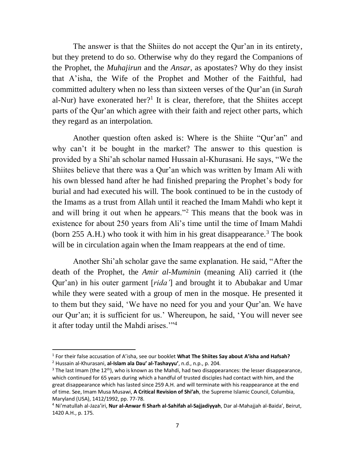The answer is that the Shiites do not accept the Qur'an in its entirety, but they pretend to do so. Otherwise why do they regard the Companions of the Prophet, the *Muhajirun* and the *Ansar*, as apostates? Why do they insist that A'isha, the Wife of the Prophet and Mother of the Faithful, had committed adultery when no less than sixteen verses of the Qur'an (in *Surah* al-Nur) have exonerated her?<sup>1</sup> It is clear, therefore, that the Shiites accept parts of the Qur'an which agree with their faith and reject other parts, which they regard as an interpolation.

Another question often asked is: Where is the Shiite "Qur'an" and why can't it be bought in the market? The answer to this question is provided by a Shi'ah scholar named Hussain al-Khurasani. He says, "We the Shiites believe that there was a Qur'an which was written by Imam Ali with his own blessed hand after he had finished preparing the Prophet's body for burial and had executed his will. The book continued to be in the custody of the Imams as a trust from Allah until it reached the Imam Mahdi who kept it and will bring it out when he appears."<sup>2</sup> This means that the book was in existence for about 250 years from Ali's time until the time of Imam Mahdi (born 255 A.H.) who took it with him in his great disappearance.<sup>3</sup> The book will be in circulation again when the Imam reappears at the end of time.

Another Shi'ah scholar gave the same explanation. He said, "After the death of the Prophet, the *Amir al-Muminin* (meaning Ali) carried it (the Qur'an) in his outer garment [*rida'*] and brought it to Abubakar and Umar while they were seated with a group of men in the mosque. He presented it to them but they said, 'We have no need for you and your Qur'an. We have our Qur'an; it is sufficient for us.' Whereupon, he said, 'You will never see it after today until the Mahdi arises.'"<sup>4</sup>

 $\overline{a}$ 

<sup>1</sup> For their false accusation of A'isha, see our booklet **What The Shiites Say about A'isha and Hafsah?**

<sup>2</sup> Hussain al-Khurasani, **al-Islam ala Dau' al-Tashayyu'**, n.d., n.p., p. 204.

 $3$  The last Imam (the 12<sup>th</sup>), who is known as the Mahdi, had two disappearances: the lesser disappearance, which continued for 65 years during which a handful of trusted disciples had contact with him, and the great disappearance which has lasted since 259 A.H. and will terminate with his reappearance at the end of time. See, Imam Musa Musawi, **A Critical Revision of Shi'ah**, the Supreme Islamic Council, Columbia, Maryland (USA), 1412/1992, pp. 77-78.

<sup>4</sup> Ni'matullah al-Jaza'iri, **Nur al-Anwar fi Sharh al-Sahifah al-Sajjadiyyah**, Dar al-Mahajjah al-Baida', Beirut, 1420 A.H., p. 175.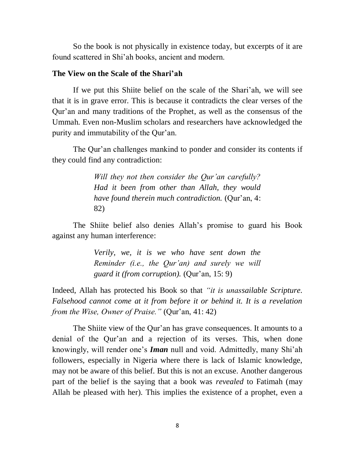So the book is not physically in existence today, but excerpts of it are found scattered in Shi'ah books, ancient and modern.

#### **The View on the Scale of the Shari'ah**

If we put this Shiite belief on the scale of the Shari'ah, we will see that it is in grave error. This is because it contradicts the clear verses of the Qur'an and many traditions of the Prophet, as well as the consensus of the Ummah. Even non-Muslim scholars and researchers have acknowledged the purity and immutability of the Qur'an.

The Qur'an challenges mankind to ponder and consider its contents if they could find any contradiction:

> *Will they not then consider the Qur'an carefully? Had it been from other than Allah, they would have found therein much contradiction.* (Qur'an, 4: 82)

The Shiite belief also denies Allah's promise to guard his Book against any human interference:

> *Verily, we, it is we who have sent down the Reminder (i.e., the Qur'an) and surely we will guard it (from corruption).* (Qur'an, 15: 9)

Indeed, Allah has protected his Book so that *"it is unassailable Scripture. Falsehood cannot come at it from before it or behind it. It is a revelation from the Wise, Owner of Praise."* (Qur'an, 41: 42)

The Shiite view of the Qur'an has grave consequences. It amounts to a denial of the Qur'an and a rejection of its verses. This, when done knowingly, will render one's *Iman* null and void. Admittedly, many Shi'ah followers, especially in Nigeria where there is lack of Islamic knowledge, may not be aware of this belief. But this is not an excuse. Another dangerous part of the belief is the saying that a book was *revealed* to Fatimah (may Allah be pleased with her). This implies the existence of a prophet, even a